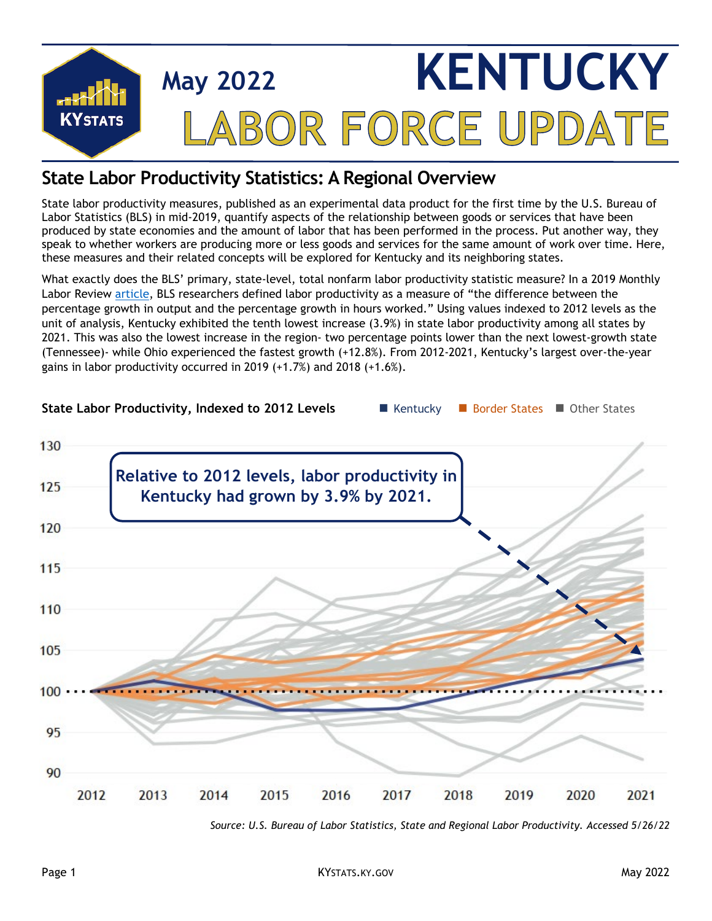

## **State Labor Productivity Statistics: A Regional Overview**

State labor productivity measures, published as an experimental data product for the first time by the U.S. Bureau of Labor Statistics (BLS) in mid-2019, quantify aspects of the relationship between goods or services that have been produced by state economies and the amount of labor that has been performed in the process. Put another way, they speak to whether workers are producing more or less goods and services for the same amount of work over time. Here, these measures and their related concepts will be explored for Kentucky and its neighboring states.

What exactly does the BLS' primary, state-level, total nonfarm labor productivity statistic measure? In a 2019 Monthly Labor Review [article,](https://www.bls.gov/opub/mlr/2019/article/bls-publishes-experimental-state-level-labor-productivity-measures.htm) BLS researchers defined labor productivity as a measure of "the difference between the percentage growth in output and the percentage growth in hours worked." Using values indexed to 2012 levels as the unit of analysis, Kentucky exhibited the tenth lowest increase (3.9%) in state labor productivity among all states by 2021. This was also the lowest increase in the region- two percentage points lower than the next lowest-growth state (Tennessee)- while Ohio experienced the fastest growth (+12.8%). From 2012-2021, Kentucky's largest over-the-year gains in labor productivity occurred in 2019 (+1.7%) and 2018 (+1.6%).



*Source: U.S. Bureau of Labor Statistics, State and Regional Labor Productivity. Accessed 5/26/22*